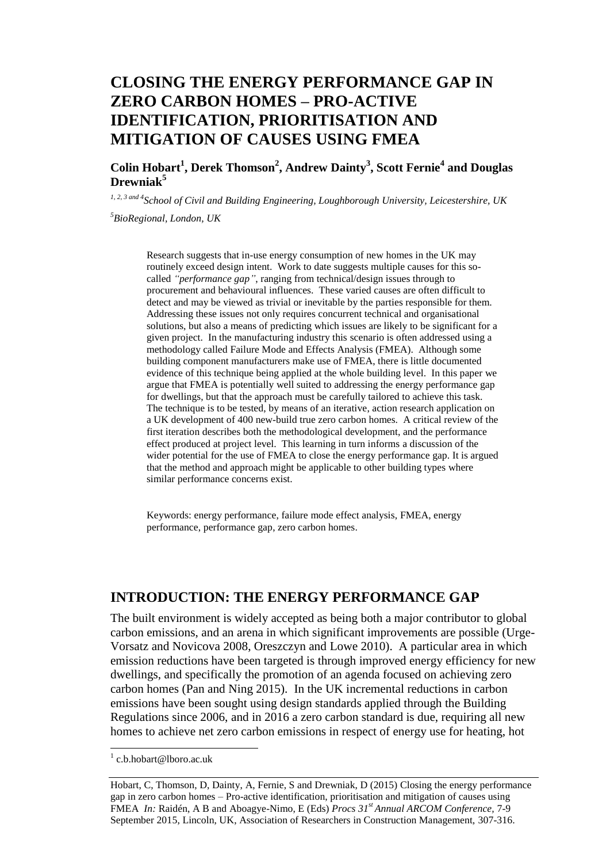# **CLOSING THE ENERGY PERFORMANCE GAP IN ZERO CARBON HOMES – PRO-ACTIVE IDENTIFICATION, PRIORITISATION AND MITIGATION OF CAUSES USING FMEA**

**Colin Hobart<sup>1</sup> , Derek Thomson<sup>2</sup> , Andrew Dainty<sup>3</sup> , Scott Fernie<sup>4</sup> and Douglas Drewniak<sup>5</sup>**

*1, 2, 3 and 4School of Civil and Building Engineering, Loughborough University, Leicestershire, UK <sup>5</sup>BioRegional, London, UK*

Research suggests that in-use energy consumption of new homes in the UK may routinely exceed design intent. Work to date suggests multiple causes for this socalled *"performance gap"*, ranging from technical/design issues through to procurement and behavioural influences. These varied causes are often difficult to detect and may be viewed as trivial or inevitable by the parties responsible for them. Addressing these issues not only requires concurrent technical and organisational solutions, but also a means of predicting which issues are likely to be significant for a given project. In the manufacturing industry this scenario is often addressed using a methodology called Failure Mode and Effects Analysis (FMEA). Although some building component manufacturers make use of FMEA, there is little documented evidence of this technique being applied at the whole building level. In this paper we argue that FMEA is potentially well suited to addressing the energy performance gap for dwellings, but that the approach must be carefully tailored to achieve this task. The technique is to be tested, by means of an iterative, action research application on a UK development of 400 new-build true zero carbon homes. A critical review of the first iteration describes both the methodological development, and the performance effect produced at project level. This learning in turn informs a discussion of the wider potential for the use of FMEA to close the energy performance gap. It is argued that the method and approach might be applicable to other building types where similar performance concerns exist.

Keywords: energy performance, failure mode effect analysis, FMEA, energy performance, performance gap, zero carbon homes.

## **INTRODUCTION: THE ENERGY PERFORMANCE GAP**

The built environment is widely accepted as being both a major contributor to global carbon emissions, and an arena in which significant improvements are possible (Urge-Vorsatz and Novicova 2008, Oreszczyn and Lowe 2010). A particular area in which emission reductions have been targeted is through improved energy efficiency for new dwellings, and specifically the promotion of an agenda focused on achieving zero carbon homes (Pan and Ning 2015). In the UK incremental reductions in carbon emissions have been sought using design standards applied through the Building Regulations since 2006, and in 2016 a zero carbon standard is due, requiring all new homes to achieve net zero carbon emissions in respect of energy use for heating, hot

 1 c.b.hobart@lboro.ac.uk

Hobart, C, Thomson, D, Dainty, A, Fernie, S and Drewniak, D (2015) Closing the energy performance gap in zero carbon homes – Pro-active identification, prioritisation and mitigation of causes using FMEA *In:* Raidén, A B and Aboagye-Nimo, E (Eds) *Procs 31st Annual ARCOM Conference,* 7-9 September 2015, Lincoln, UK, Association of Researchers in Construction Management, 307-316.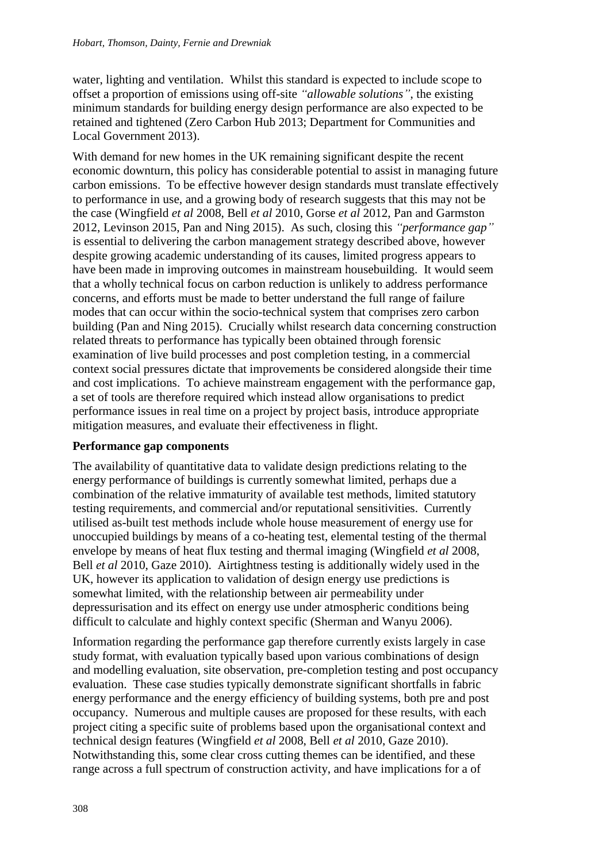water, lighting and ventilation. Whilst this standard is expected to include scope to offset a proportion of emissions using off-site *"allowable solutions"*, the existing minimum standards for building energy design performance are also expected to be retained and tightened (Zero Carbon Hub 2013; Department for Communities and Local Government 2013).

With demand for new homes in the UK remaining significant despite the recent economic downturn, this policy has considerable potential to assist in managing future carbon emissions. To be effective however design standards must translate effectively to performance in use, and a growing body of research suggests that this may not be the case (Wingfield *et al* 2008, Bell *et al* 2010, Gorse *et al* 2012, Pan and Garmston 2012, Levinson 2015, Pan and Ning 2015). As such, closing this *"performance gap"* is essential to delivering the carbon management strategy described above, however despite growing academic understanding of its causes, limited progress appears to have been made in improving outcomes in mainstream housebuilding. It would seem that a wholly technical focus on carbon reduction is unlikely to address performance concerns, and efforts must be made to better understand the full range of failure modes that can occur within the socio-technical system that comprises zero carbon building (Pan and Ning 2015). Crucially whilst research data concerning construction related threats to performance has typically been obtained through forensic examination of live build processes and post completion testing, in a commercial context social pressures dictate that improvements be considered alongside their time and cost implications. To achieve mainstream engagement with the performance gap, a set of tools are therefore required which instead allow organisations to predict performance issues in real time on a project by project basis, introduce appropriate mitigation measures, and evaluate their effectiveness in flight.

#### **Performance gap components**

The availability of quantitative data to validate design predictions relating to the energy performance of buildings is currently somewhat limited, perhaps due a combination of the relative immaturity of available test methods, limited statutory testing requirements, and commercial and/or reputational sensitivities. Currently utilised as-built test methods include whole house measurement of energy use for unoccupied buildings by means of a co-heating test, elemental testing of the thermal envelope by means of heat flux testing and thermal imaging (Wingfield *et al* 2008, Bell *et al* 2010, Gaze 2010). Airtightness testing is additionally widely used in the UK, however its application to validation of design energy use predictions is somewhat limited, with the relationship between air permeability under depressurisation and its effect on energy use under atmospheric conditions being difficult to calculate and highly context specific (Sherman and Wanyu 2006).

Information regarding the performance gap therefore currently exists largely in case study format, with evaluation typically based upon various combinations of design and modelling evaluation, site observation, pre-completion testing and post occupancy evaluation. These case studies typically demonstrate significant shortfalls in fabric energy performance and the energy efficiency of building systems, both pre and post occupancy. Numerous and multiple causes are proposed for these results, with each project citing a specific suite of problems based upon the organisational context and technical design features (Wingfield *et al* 2008, Bell *et al* 2010, Gaze 2010). Notwithstanding this, some clear cross cutting themes can be identified, and these range across a full spectrum of construction activity, and have implications for a of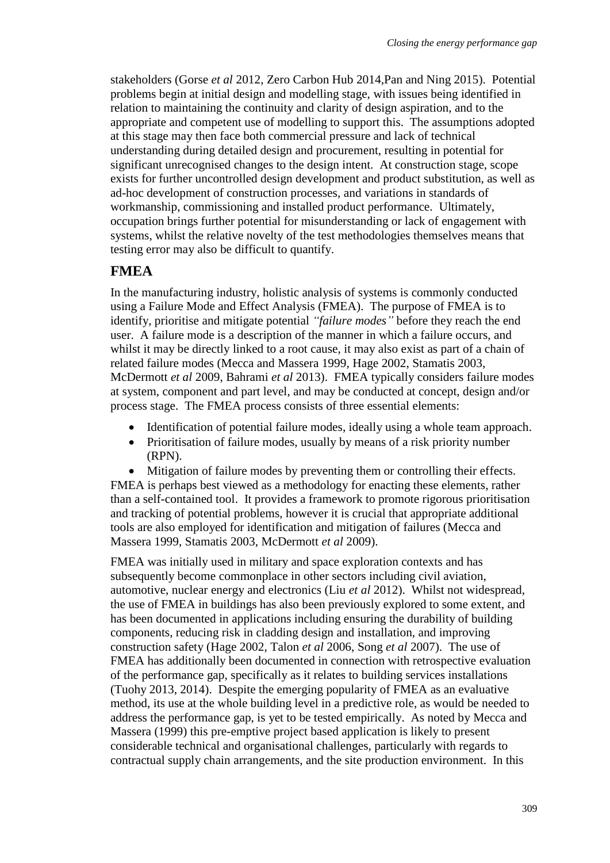stakeholders (Gorse *et al* 2012, Zero Carbon Hub 2014,Pan and Ning 2015). Potential problems begin at initial design and modelling stage, with issues being identified in relation to maintaining the continuity and clarity of design aspiration, and to the appropriate and competent use of modelling to support this. The assumptions adopted at this stage may then face both commercial pressure and lack of technical understanding during detailed design and procurement, resulting in potential for significant unrecognised changes to the design intent. At construction stage, scope exists for further uncontrolled design development and product substitution, as well as ad-hoc development of construction processes, and variations in standards of workmanship, commissioning and installed product performance. Ultimately, occupation brings further potential for misunderstanding or lack of engagement with systems, whilst the relative novelty of the test methodologies themselves means that testing error may also be difficult to quantify.

## **FMEA**

In the manufacturing industry, holistic analysis of systems is commonly conducted using a Failure Mode and Effect Analysis (FMEA). The purpose of FMEA is to identify, prioritise and mitigate potential *"failure modes"* before they reach the end user. A failure mode is a description of the manner in which a failure occurs, and whilst it may be directly linked to a root cause, it may also exist as part of a chain of related failure modes (Mecca and Massera 1999, Hage 2002, Stamatis 2003, McDermott *et al* 2009, Bahrami *et al* 2013). FMEA typically considers failure modes at system, component and part level, and may be conducted at concept, design and/or process stage. The FMEA process consists of three essential elements:

- Identification of potential failure modes, ideally using a whole team approach.
- Prioritisation of failure modes, usually by means of a risk priority number (RPN).
- Mitigation of failure modes by preventing them or controlling their effects. FMEA is perhaps best viewed as a methodology for enacting these elements, rather than a self-contained tool. It provides a framework to promote rigorous prioritisation and tracking of potential problems, however it is crucial that appropriate additional tools are also employed for identification and mitigation of failures (Mecca and

Massera 1999, Stamatis 2003, McDermott *et al* 2009).

FMEA was initially used in military and space exploration contexts and has subsequently become commonplace in other sectors including civil aviation, automotive, nuclear energy and electronics (Liu *et al* 2012). Whilst not widespread, the use of FMEA in buildings has also been previously explored to some extent, and has been documented in applications including ensuring the durability of building components, reducing risk in cladding design and installation, and improving construction safety (Hage 2002, Talon *et al* 2006, Song *et al* 2007). The use of FMEA has additionally been documented in connection with retrospective evaluation of the performance gap, specifically as it relates to building services installations (Tuohy 2013, 2014). Despite the emerging popularity of FMEA as an evaluative method, its use at the whole building level in a predictive role, as would be needed to address the performance gap, is yet to be tested empirically. As noted by Mecca and Massera (1999) this pre-emptive project based application is likely to present considerable technical and organisational challenges, particularly with regards to contractual supply chain arrangements, and the site production environment. In this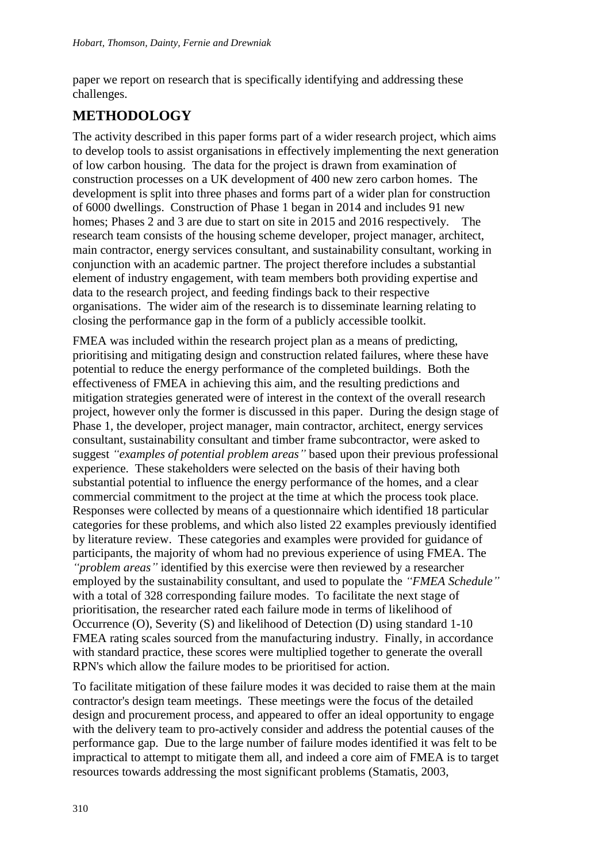paper we report on research that is specifically identifying and addressing these challenges.

## **METHODOLOGY**

The activity described in this paper forms part of a wider research project, which aims to develop tools to assist organisations in effectively implementing the next generation of low carbon housing. The data for the project is drawn from examination of construction processes on a UK development of 400 new zero carbon homes. The development is split into three phases and forms part of a wider plan for construction of 6000 dwellings. Construction of Phase 1 began in 2014 and includes 91 new homes; Phases 2 and 3 are due to start on site in 2015 and 2016 respectively. The research team consists of the housing scheme developer, project manager, architect, main contractor, energy services consultant, and sustainability consultant, working in conjunction with an academic partner. The project therefore includes a substantial element of industry engagement, with team members both providing expertise and data to the research project, and feeding findings back to their respective organisations. The wider aim of the research is to disseminate learning relating to closing the performance gap in the form of a publicly accessible toolkit.

FMEA was included within the research project plan as a means of predicting, prioritising and mitigating design and construction related failures, where these have potential to reduce the energy performance of the completed buildings. Both the effectiveness of FMEA in achieving this aim, and the resulting predictions and mitigation strategies generated were of interest in the context of the overall research project, however only the former is discussed in this paper. During the design stage of Phase 1, the developer, project manager, main contractor, architect, energy services consultant, sustainability consultant and timber frame subcontractor, were asked to suggest *"examples of potential problem areas"* based upon their previous professional experience. These stakeholders were selected on the basis of their having both substantial potential to influence the energy performance of the homes, and a clear commercial commitment to the project at the time at which the process took place. Responses were collected by means of a questionnaire which identified 18 particular categories for these problems, and which also listed 22 examples previously identified by literature review. These categories and examples were provided for guidance of participants, the majority of whom had no previous experience of using FMEA. The *"problem areas"* identified by this exercise were then reviewed by a researcher employed by the sustainability consultant, and used to populate the *"FMEA Schedule"* with a total of 328 corresponding failure modes. To facilitate the next stage of prioritisation, the researcher rated each failure mode in terms of likelihood of Occurrence (O), Severity (S) and likelihood of Detection (D) using standard 1-10 FMEA rating scales sourced from the manufacturing industry. Finally, in accordance with standard practice, these scores were multiplied together to generate the overall RPN's which allow the failure modes to be prioritised for action.

To facilitate mitigation of these failure modes it was decided to raise them at the main contractor's design team meetings. These meetings were the focus of the detailed design and procurement process, and appeared to offer an ideal opportunity to engage with the delivery team to pro-actively consider and address the potential causes of the performance gap. Due to the large number of failure modes identified it was felt to be impractical to attempt to mitigate them all, and indeed a core aim of FMEA is to target resources towards addressing the most significant problems (Stamatis, 2003,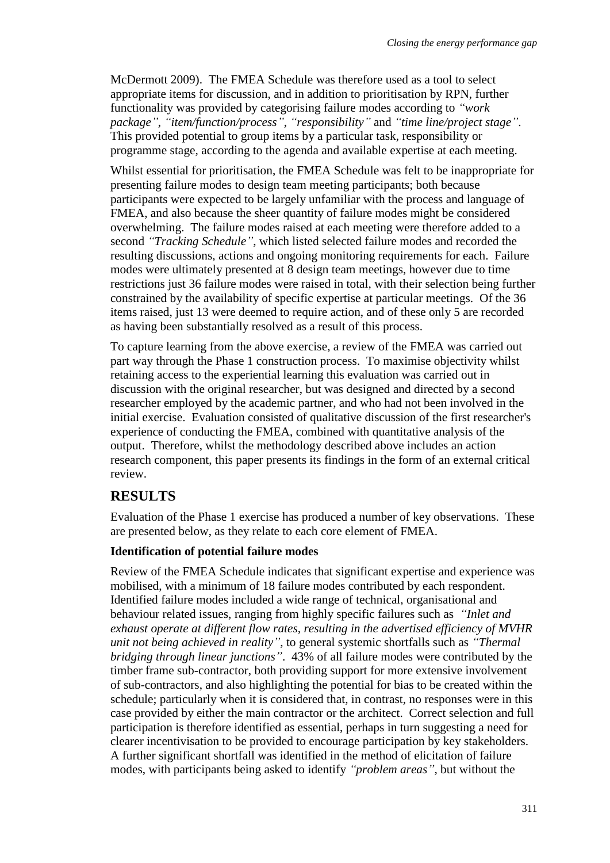McDermott 2009). The FMEA Schedule was therefore used as a tool to select appropriate items for discussion, and in addition to prioritisation by RPN, further functionality was provided by categorising failure modes according to *"work package"*, *"item/function/process"*, *"responsibility"* and *"time line/project stage"*. This provided potential to group items by a particular task, responsibility or programme stage, according to the agenda and available expertise at each meeting.

Whilst essential for prioritisation, the FMEA Schedule was felt to be inappropriate for presenting failure modes to design team meeting participants; both because participants were expected to be largely unfamiliar with the process and language of FMEA, and also because the sheer quantity of failure modes might be considered overwhelming. The failure modes raised at each meeting were therefore added to a second *"Tracking Schedule"*, which listed selected failure modes and recorded the resulting discussions, actions and ongoing monitoring requirements for each. Failure modes were ultimately presented at 8 design team meetings, however due to time restrictions just 36 failure modes were raised in total, with their selection being further constrained by the availability of specific expertise at particular meetings. Of the 36 items raised, just 13 were deemed to require action, and of these only 5 are recorded as having been substantially resolved as a result of this process.

To capture learning from the above exercise, a review of the FMEA was carried out part way through the Phase 1 construction process. To maximise objectivity whilst retaining access to the experiential learning this evaluation was carried out in discussion with the original researcher, but was designed and directed by a second researcher employed by the academic partner, and who had not been involved in the initial exercise. Evaluation consisted of qualitative discussion of the first researcher's experience of conducting the FMEA, combined with quantitative analysis of the output. Therefore, whilst the methodology described above includes an action research component, this paper presents its findings in the form of an external critical review.

### **RESULTS**

Evaluation of the Phase 1 exercise has produced a number of key observations. These are presented below, as they relate to each core element of FMEA.

#### **Identification of potential failure modes**

Review of the FMEA Schedule indicates that significant expertise and experience was mobilised, with a minimum of 18 failure modes contributed by each respondent. Identified failure modes included a wide range of technical, organisational and behaviour related issues, ranging from highly specific failures such as *"Inlet and exhaust operate at different flow rates, resulting in the advertised efficiency of MVHR unit not being achieved in reality"*, to general systemic shortfalls such as *"Thermal bridging through linear junctions"*. 43% of all failure modes were contributed by the timber frame sub-contractor, both providing support for more extensive involvement of sub-contractors, and also highlighting the potential for bias to be created within the schedule; particularly when it is considered that, in contrast, no responses were in this case provided by either the main contractor or the architect. Correct selection and full participation is therefore identified as essential, perhaps in turn suggesting a need for clearer incentivisation to be provided to encourage participation by key stakeholders. A further significant shortfall was identified in the method of elicitation of failure modes, with participants being asked to identify *"problem areas"*, but without the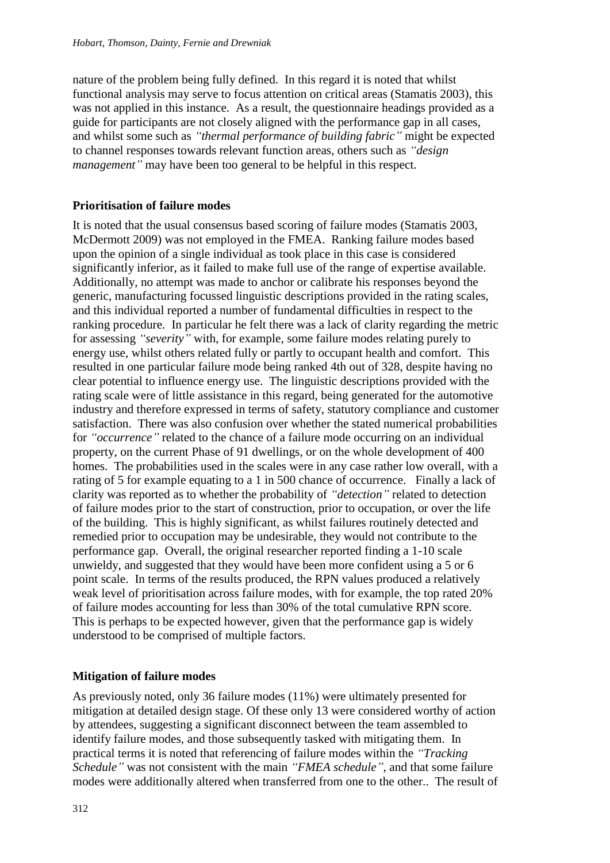nature of the problem being fully defined. In this regard it is noted that whilst functional analysis may serve to focus attention on critical areas (Stamatis 2003), this was not applied in this instance. As a result, the questionnaire headings provided as a guide for participants are not closely aligned with the performance gap in all cases, and whilst some such as *"thermal performance of building fabric"* might be expected to channel responses towards relevant function areas, others such as *"design management"* may have been too general to be helpful in this respect.

#### **Prioritisation of failure modes**

It is noted that the usual consensus based scoring of failure modes (Stamatis 2003, McDermott 2009) was not employed in the FMEA. Ranking failure modes based upon the opinion of a single individual as took place in this case is considered significantly inferior, as it failed to make full use of the range of expertise available. Additionally, no attempt was made to anchor or calibrate his responses beyond the generic, manufacturing focussed linguistic descriptions provided in the rating scales, and this individual reported a number of fundamental difficulties in respect to the ranking procedure. In particular he felt there was a lack of clarity regarding the metric for assessing *"severity"* with, for example, some failure modes relating purely to energy use, whilst others related fully or partly to occupant health and comfort. This resulted in one particular failure mode being ranked 4th out of 328, despite having no clear potential to influence energy use. The linguistic descriptions provided with the rating scale were of little assistance in this regard, being generated for the automotive industry and therefore expressed in terms of safety, statutory compliance and customer satisfaction. There was also confusion over whether the stated numerical probabilities for *"occurrence"* related to the chance of a failure mode occurring on an individual property, on the current Phase of 91 dwellings, or on the whole development of 400 homes. The probabilities used in the scales were in any case rather low overall, with a rating of 5 for example equating to a 1 in 500 chance of occurrence. Finally a lack of clarity was reported as to whether the probability of *"detection"* related to detection of failure modes prior to the start of construction, prior to occupation, or over the life of the building. This is highly significant, as whilst failures routinely detected and remedied prior to occupation may be undesirable, they would not contribute to the performance gap. Overall, the original researcher reported finding a 1-10 scale unwieldy, and suggested that they would have been more confident using a 5 or 6 point scale. In terms of the results produced, the RPN values produced a relatively weak level of prioritisation across failure modes, with for example, the top rated 20% of failure modes accounting for less than 30% of the total cumulative RPN score. This is perhaps to be expected however, given that the performance gap is widely understood to be comprised of multiple factors.

#### **Mitigation of failure modes**

As previously noted, only 36 failure modes (11%) were ultimately presented for mitigation at detailed design stage. Of these only 13 were considered worthy of action by attendees, suggesting a significant disconnect between the team assembled to identify failure modes, and those subsequently tasked with mitigating them. In practical terms it is noted that referencing of failure modes within the *"Tracking Schedule"* was not consistent with the main *"FMEA schedule"*, and that some failure modes were additionally altered when transferred from one to the other.. The result of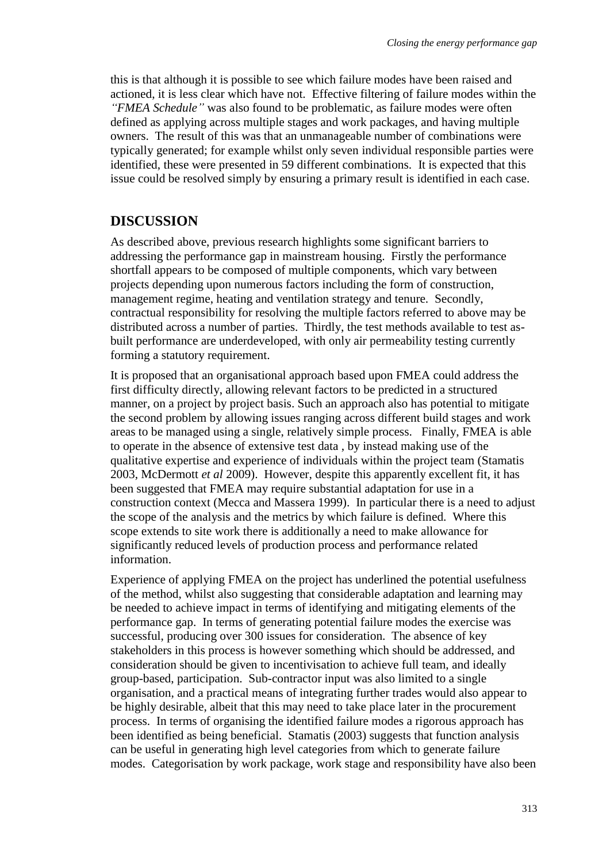this is that although it is possible to see which failure modes have been raised and actioned, it is less clear which have not. Effective filtering of failure modes within the *"FMEA Schedule"* was also found to be problematic, as failure modes were often defined as applying across multiple stages and work packages, and having multiple owners. The result of this was that an unmanageable number of combinations were typically generated; for example whilst only seven individual responsible parties were identified, these were presented in 59 different combinations. It is expected that this issue could be resolved simply by ensuring a primary result is identified in each case.

## **DISCUSSION**

As described above, previous research highlights some significant barriers to addressing the performance gap in mainstream housing. Firstly the performance shortfall appears to be composed of multiple components, which vary between projects depending upon numerous factors including the form of construction, management regime, heating and ventilation strategy and tenure. Secondly, contractual responsibility for resolving the multiple factors referred to above may be distributed across a number of parties. Thirdly, the test methods available to test asbuilt performance are underdeveloped, with only air permeability testing currently forming a statutory requirement.

It is proposed that an organisational approach based upon FMEA could address the first difficulty directly, allowing relevant factors to be predicted in a structured manner, on a project by project basis. Such an approach also has potential to mitigate the second problem by allowing issues ranging across different build stages and work areas to be managed using a single, relatively simple process. Finally, FMEA is able to operate in the absence of extensive test data , by instead making use of the qualitative expertise and experience of individuals within the project team (Stamatis 2003, McDermott *et al* 2009). However, despite this apparently excellent fit, it has been suggested that FMEA may require substantial adaptation for use in a construction context (Mecca and Massera 1999). In particular there is a need to adjust the scope of the analysis and the metrics by which failure is defined. Where this scope extends to site work there is additionally a need to make allowance for significantly reduced levels of production process and performance related information.

Experience of applying FMEA on the project has underlined the potential usefulness of the method, whilst also suggesting that considerable adaptation and learning may be needed to achieve impact in terms of identifying and mitigating elements of the performance gap. In terms of generating potential failure modes the exercise was successful, producing over 300 issues for consideration. The absence of key stakeholders in this process is however something which should be addressed, and consideration should be given to incentivisation to achieve full team, and ideally group-based, participation. Sub-contractor input was also limited to a single organisation, and a practical means of integrating further trades would also appear to be highly desirable, albeit that this may need to take place later in the procurement process. In terms of organising the identified failure modes a rigorous approach has been identified as being beneficial. Stamatis (2003) suggests that function analysis can be useful in generating high level categories from which to generate failure modes. Categorisation by work package, work stage and responsibility have also been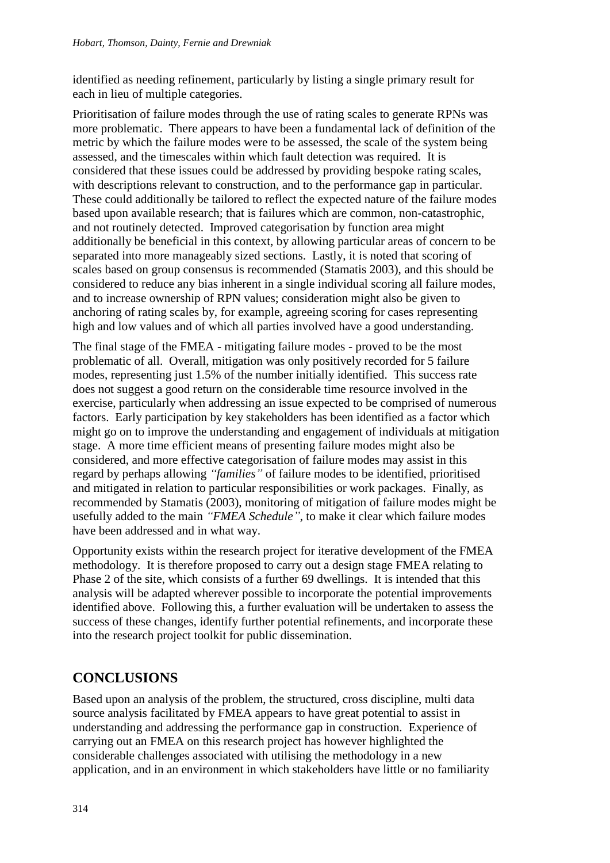identified as needing refinement, particularly by listing a single primary result for each in lieu of multiple categories.

Prioritisation of failure modes through the use of rating scales to generate RPNs was more problematic. There appears to have been a fundamental lack of definition of the metric by which the failure modes were to be assessed, the scale of the system being assessed, and the timescales within which fault detection was required. It is considered that these issues could be addressed by providing bespoke rating scales, with descriptions relevant to construction, and to the performance gap in particular. These could additionally be tailored to reflect the expected nature of the failure modes based upon available research; that is failures which are common, non-catastrophic, and not routinely detected. Improved categorisation by function area might additionally be beneficial in this context, by allowing particular areas of concern to be separated into more manageably sized sections. Lastly, it is noted that scoring of scales based on group consensus is recommended (Stamatis 2003), and this should be considered to reduce any bias inherent in a single individual scoring all failure modes, and to increase ownership of RPN values; consideration might also be given to anchoring of rating scales by, for example, agreeing scoring for cases representing high and low values and of which all parties involved have a good understanding.

The final stage of the FMEA - mitigating failure modes - proved to be the most problematic of all. Overall, mitigation was only positively recorded for 5 failure modes, representing just 1.5% of the number initially identified. This success rate does not suggest a good return on the considerable time resource involved in the exercise, particularly when addressing an issue expected to be comprised of numerous factors. Early participation by key stakeholders has been identified as a factor which might go on to improve the understanding and engagement of individuals at mitigation stage. A more time efficient means of presenting failure modes might also be considered, and more effective categorisation of failure modes may assist in this regard by perhaps allowing *"families"* of failure modes to be identified, prioritised and mitigated in relation to particular responsibilities or work packages. Finally, as recommended by Stamatis (2003), monitoring of mitigation of failure modes might be usefully added to the main *"FMEA Schedule"*, to make it clear which failure modes have been addressed and in what way.

Opportunity exists within the research project for iterative development of the FMEA methodology. It is therefore proposed to carry out a design stage FMEA relating to Phase 2 of the site, which consists of a further 69 dwellings. It is intended that this analysis will be adapted wherever possible to incorporate the potential improvements identified above. Following this, a further evaluation will be undertaken to assess the success of these changes, identify further potential refinements, and incorporate these into the research project toolkit for public dissemination.

## **CONCLUSIONS**

Based upon an analysis of the problem, the structured, cross discipline, multi data source analysis facilitated by FMEA appears to have great potential to assist in understanding and addressing the performance gap in construction. Experience of carrying out an FMEA on this research project has however highlighted the considerable challenges associated with utilising the methodology in a new application, and in an environment in which stakeholders have little or no familiarity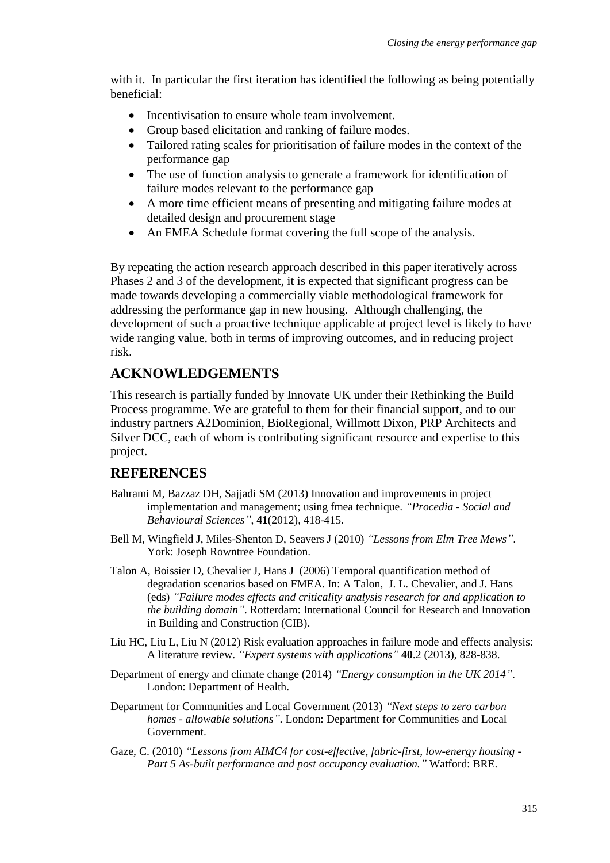with it. In particular the first iteration has identified the following as being potentially beneficial:

- Incentivisation to ensure whole team involvement.
- Group based elicitation and ranking of failure modes.
- Tailored rating scales for prioritisation of failure modes in the context of the performance gap
- The use of function analysis to generate a framework for identification of failure modes relevant to the performance gap
- A more time efficient means of presenting and mitigating failure modes at detailed design and procurement stage
- An FMEA Schedule format covering the full scope of the analysis.

By repeating the action research approach described in this paper iteratively across Phases 2 and 3 of the development, it is expected that significant progress can be made towards developing a commercially viable methodological framework for addressing the performance gap in new housing. Although challenging, the development of such a proactive technique applicable at project level is likely to have wide ranging value, both in terms of improving outcomes, and in reducing project risk.

## **ACKNOWLEDGEMENTS**

This research is partially funded by Innovate UK under their Rethinking the Build Process programme. We are grateful to them for their financial support, and to our industry partners A2Dominion, BioRegional, Willmott Dixon, PRP Architects and Silver DCC, each of whom is contributing significant resource and expertise to this project.

### **REFERENCES**

- Bahrami M, Bazzaz DH, Sajjadi SM (2013) Innovation and improvements in project implementation and management; using fmea technique. *"Procedia - Social and Behavioural Sciences"*, **41**(2012), 418-415.
- Bell M, Wingfield J, Miles-Shenton D, Seavers J (2010) *"Lessons from Elm Tree Mews"*. York: Joseph Rowntree Foundation.
- Talon A, Boissier D, Chevalier J, Hans J (2006) Temporal quantification method of degradation scenarios based on FMEA. In: A Talon, J. L. Chevalier, and J. Hans (eds) *"Failure modes effects and criticality analysis research for and application to the building domain"*. Rotterdam: International Council for Research and Innovation in Building and Construction (CIB).
- Liu HC, Liu L, Liu N (2012) Risk evaluation approaches in failure mode and effects analysis: A literature review. *"Expert systems with applications"* **40**.2 (2013), 828-838.
- Department of energy and climate change (2014) *"Energy consumption in the UK 2014"*. London: Department of Health.
- Department for Communities and Local Government (2013) *"Next steps to zero carbon homes - allowable solutions"*. London: Department for Communities and Local Government.
- Gaze, C. (2010) *"Lessons from AIMC4 for cost-effective, fabric-first, low-energy housing - Part 5 As-built performance and post occupancy evaluation."* Watford: BRE.